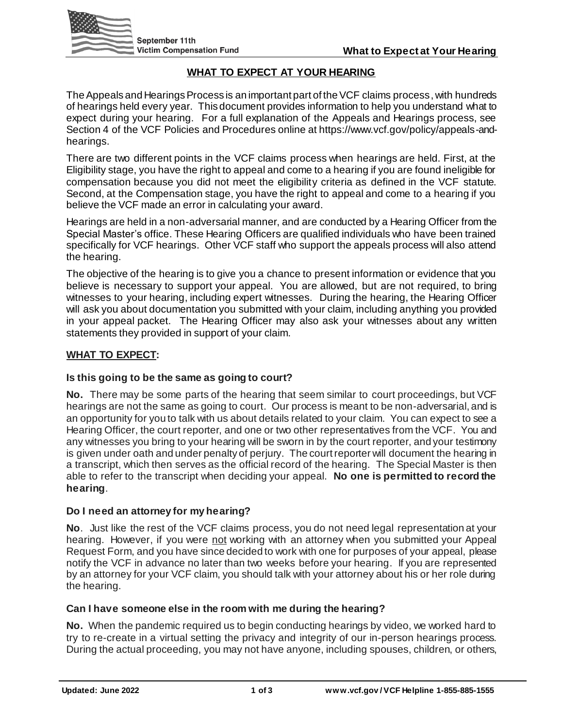

# **WHAT TO EXPECT AT YOUR HEARING**

The Appeals and Hearings Process is an important part of the VCF claims process, with hundreds of hearings held every year. This document provides information to help you understand what to expect during your hearing. For a full explanation of the Appeals and Hearings process, see Section 4 of the VCF Policies and Procedures online at https://www.vcf.gov/policy/appeals-andhearings.

There are two different points in the VCF claims process when hearings are held. First, at the Eligibility stage, you have the right to appeal and come to a hearing if you are found ineligible for compensation because you did not meet the eligibility criteria as defined in the VCF statute. Second, at the Compensation stage, you have the right to appeal and come to a hearing if you believe the VCF made an error in calculating your award.

Hearings are held in a non-adversarial manner, and are conducted by a Hearing Officer from the Special Master's office. These Hearing Officers are qualified individuals who have been trained specifically for VCF hearings. Other VCF staff who support the appeals process will also attend the hearing.

The objective of the hearing is to give you a chance to present information or evidence that you believe is necessary to support your appeal. You are allowed, but are not required, to bring witnesses to your hearing, including expert witnesses. During the hearing, the Hearing Officer will ask you about documentation you submitted with your claim, including anything you provided in your appeal packet. The Hearing Officer may also ask your witnesses about any written statements they provided in support of your claim.

#### **WHAT TO EXPECT:**

## **Is this going to be the same as going to court?**

**No.** There may be some parts of the hearing that seem similar to court proceedings, but VCF hearings are not the same as going to court. Our process is meant to be non-adversarial, and is an opportunity for you to talk with us about details related to your claim. You can expect to see a Hearing Officer, the court reporter, and one or two other representatives from the VCF. You and any witnesses you bring to your hearing will be sworn in by the court reporter, and your testimony is given under oath and under penalty of perjury. The court reporter will document the hearing in a transcript, which then serves as the official record of the hearing. The Special Master is then able to refer to the transcript when deciding your appeal. **No one is permitted to record the hearing**.

## **Do I need an attorney for my hearing?**

**No**. Just like the rest of the VCF claims process, you do not need legal representation at your hearing. However, if you were not working with an attorney when you submitted your Appeal Request Form, and you have since decided to work with one for purposes of your appeal, please notify the VCF in advance no later than two weeks before your hearing. If you are represented by an attorney for your VCF claim, you should talk with your attorney about his or her role during the hearing.

#### **Can I have someone else in the room with me during the hearing?**

**No.** When the pandemic required us to begin conducting hearings by video, we worked hard to try to re-create in a virtual setting the privacy and integrity of our in-person hearings process. During the actual proceeding, you may not have anyone, including spouses, children, or others,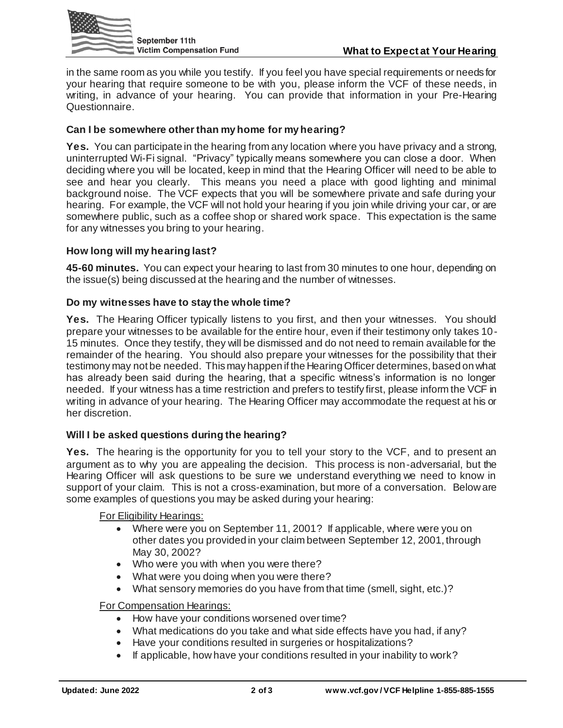

in the same room as you while you testify. If you feel you have special requirements or needs for your hearing that require someone to be with you, please inform the VCF of these needs, in writing, in advance of your hearing. You can provide that information in your Pre-Hearing Questionnaire.

# **Can I be somewhere other than my home for my hearing?**

**Yes.** You can participate in the hearing from any location where you have privacy and a strong, uninterrupted Wi-Fi signal. "Privacy" typically means somewhere you can close a door. When deciding where you will be located, keep in mind that the Hearing Officer will need to be able to see and hear you clearly. This means you need a place with good lighting and minimal background noise. The VCF expects that you will be somewhere private and safe during your hearing. For example, the VCF will not hold your hearing if you join while driving your car, or are somewhere public, such as a coffee shop or shared work space. This expectation is the same for any witnesses you bring to your hearing.

## **How long will my hearing last?**

**45-60 minutes.** You can expect your hearing to last from 30 minutes to one hour, depending on the issue(s) being discussed at the hearing and the number of witnesses.

## **Do my witnesses have to stay the whole time?**

**Yes.** The Hearing Officer typically listens to you first, and then your witnesses. You should prepare your witnesses to be available for the entire hour, even if their testimony only takes 10- 15 minutes. Once they testify, they will be dismissed and do not need to remain available for the remainder of the hearing. You should also prepare your witnesses for the possibility that their testimony may not be needed. This may happen if the Hearing Officer determines, based on what has already been said during the hearing, that a specific witness's information is no longer needed. If your witness has a time restriction and prefers to testify first, please inform the VCF in writing in advance of your hearing. The Hearing Officer may accommodate the request at his or her discretion.

## **Will I be asked questions during the hearing?**

**Yes.** The hearing is the opportunity for you to tell your story to the VCF, and to present an argument as to why you are appealing the decision. This process is non-adversarial, but the Hearing Officer will ask questions to be sure we understand everything we need to know in support of your claim. This is not a cross-examination, but more of a conversation. Below are some examples of questions you may be asked during your hearing:

#### For Eligibility Hearings:

- Where were you on September 11, 2001? If applicable, where were you on other dates you provided in your claim between September 12, 2001, through May 30, 2002?
- Who were you with when you were there?
- What were you doing when you were there?
- What sensory memories do you have from that time (smell, sight, etc.)?

## For Compensation Hearings:

- How have your conditions worsened over time?
- What medications do you take and what side effects have you had, if any?
- Have your conditions resulted in surgeries or hospitalizations?
- If applicable, how have your conditions resulted in your inability to work?